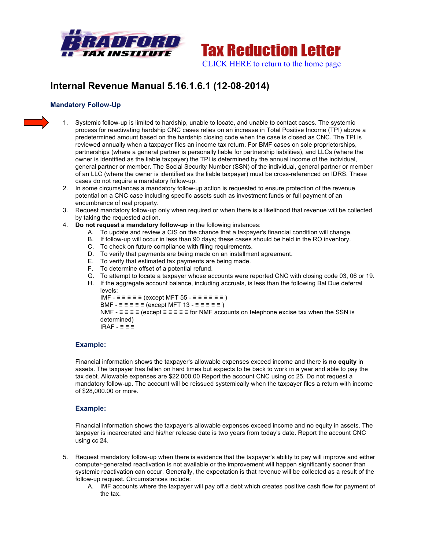



# **Internal Revenue Manual 5.16.1.6.1 (12-08-2014)**

# **Mandatory Follow-Up**

- 1. Systemic follow-up is limited to hardship, unable to locate, and unable to contact cases. The systemic process for reactivating hardship CNC cases relies on an increase in Total Positive Income (TPI) above a predetermined amount based on the hardship closing code when the case is closed as CNC. The TPI is reviewed annually when a taxpayer files an income tax return. For BMF cases on sole proprietorships, partnerships (where a general partner is personally liable for partnership liabilities), and LLCs (where the owner is identified as the liable taxpayer) the TPI is determined by the annual income of the individual, general partner or member. The Social Security Number (SSN) of the individual, general partner or member of an LLC (where the owner is identified as the liable taxpayer) must be cross-referenced on IDRS. These cases do not require a mandatory follow-up.
- 2. In some circumstances a mandatory follow-up action is requested to ensure protection of the revenue potential on a CNC case including specific assets such as investment funds or full payment of an encumbrance of real property.
- 3. Request mandatory follow-up only when required or when there is a likelihood that revenue will be collected by taking the requested action.
- 4. **Do not request a mandatory follow-up** in the following instances:
	- A. To update and review a CIS on the chance that a taxpayer's financial condition will change.
	- B. If follow-up will occur in less than 90 days; these cases should be held in the RO inventory.
	- C. To check on future compliance with filing requirements.
	- D. To verify that payments are being made on an installment agreement.
	- E. To verify that estimated tax payments are being made.
	- F. To determine offset of a potential refund.
	- G. To attempt to locate a taxpayer whose accounts were reported CNC with closing code 03, 06 or 19.
	- H. If the aggregate account balance, including accruals, is less than the following Bal Due deferral levels:

IMF  $- \equiv \equiv \equiv \equiv$  (except MFT 55  $- \equiv \equiv \equiv \equiv \equiv$ )

BMF -  $\equiv \equiv \equiv \equiv$  (except MFT 13 -  $\equiv \equiv \equiv \equiv$  )

NMF -  $\equiv \equiv \equiv \equiv$  (except  $\equiv \equiv \equiv \equiv$  =  $\equiv$  for NMF accounts on telephone excise tax when the SSN is determined)

IRAF - ≡ ≡ ≡

#### **Example:**

Financial information shows the taxpayer's allowable expenses exceed income and there is **no equity** in assets. The taxpayer has fallen on hard times but expects to be back to work in a year and able to pay the tax debt. Allowable expenses are \$22,000.00 Report the account CNC using cc 25. Do not request a mandatory follow-up. The account will be reissued systemically when the taxpayer files a return with income of \$28,000.00 or more.

## **Example:**

Financial information shows the taxpayer's allowable expenses exceed income and no equity in assets. The taxpayer is incarcerated and his/her release date is two years from today's date. Report the account CNC using cc 24.

- 5. Request mandatory follow-up when there is evidence that the taxpayer's ability to pay will improve and either computer-generated reactivation is not available or the improvement will happen significantly sooner than systemic reactivation can occur. Generally, the expectation is that revenue will be collected as a result of the follow-up request. Circumstances include:
	- A. IMF accounts where the taxpayer will pay off a debt which creates positive cash flow for payment of the tax.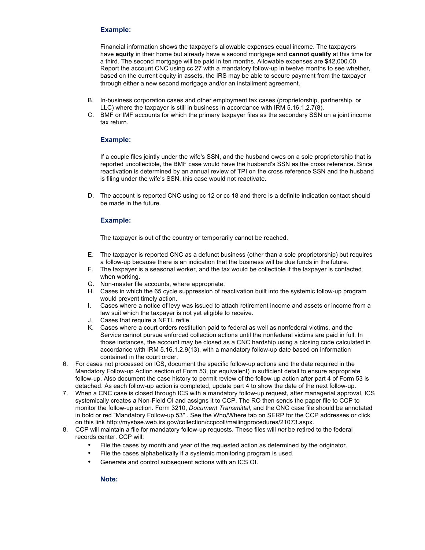# **Example:**

Financial information shows the taxpayer's allowable expenses equal income. The taxpayers have **equity** in their home but already have a second mortgage and **cannot qualify** at this time for a third. The second mortgage will be paid in ten months. Allowable expenses are \$42,000.00 Report the account CNC using cc 27 with a mandatory follow-up in twelve months to see whether, based on the current equity in assets, the IRS may be able to secure payment from the taxpayer through either a new second mortgage and/or an installment agreement.

- B. In-business corporation cases and other employment tax cases (proprietorship, partnership, or LLC) where the taxpayer is still in business in accordance with IRM 5.16.1.2.7(8).
- C. BMF or IMF accounts for which the primary taxpayer files as the secondary SSN on a joint income tax return.

## **Example:**

If a couple files jointly under the wife's SSN, and the husband owes on a sole proprietorship that is reported uncollectible, the BMF case would have the husband's SSN as the cross reference. Since reactivation is determined by an annual review of TPI on the cross reference SSN and the husband is filing under the wife's SSN, this case would not reactivate.

D. The account is reported CNC using cc 12 or cc 18 and there is a definite indication contact should be made in the future.

#### **Example:**

The taxpayer is out of the country or temporarily cannot be reached.

- E. The taxpayer is reported CNC as a defunct business (other than a sole proprietorship) but requires a follow-up because there is an indication that the business will be due funds in the future.
- F. The taxpayer is a seasonal worker, and the tax would be collectible if the taxpayer is contacted when working.
- G. Non-master file accounts, where appropriate.
- H. Cases in which the 65 cycle suppression of reactivation built into the systemic follow-up program would prevent timely action.
- I. Cases where a notice of levy was issued to attach retirement income and assets or income from a law suit which the taxpayer is not yet eligible to receive.
- J. Cases that require a NFTL refile.
- K. Cases where a court orders restitution paid to federal as well as nonfederal victims, and the Service cannot pursue enforced collection actions until the nonfederal victims are paid in full. In those instances, the account may be closed as a CNC hardship using a closing code calculated in accordance with IRM 5.16.1.2.9(13), with a mandatory follow-up date based on information contained in the court order.
- 6. For cases not processed on ICS, document the specific follow-up actions and the date required in the Mandatory Follow-up Action section of Form 53, (or equivalent) in sufficient detail to ensure appropriate follow-up. Also document the case history to permit review of the follow-up action after part 4 of Form 53 is detached. As each follow-up action is completed, update part 4 to show the date of the next follow-up.
- 7. When a CNC case is closed through ICS with a mandatory follow-up request, after managerial approval, ICS systemically creates a Non-Field OI and assigns it to CCP. The RO then sends the paper file to CCP to monitor the follow-up action. Form 3210, *Document Transmittal*, and the CNC case file should be annotated in bold or red "Mandatory Follow-up 53" . See the Who/Where tab on SERP for the CCP addresses or click on this link http://mysbse.web.irs.gov/collection/ccpcoll/mailingprocedures/21073.aspx.
- 8. CCP will maintain a file for mandatory follow-up requests. These files will *not* be retired to the federal records center. CCP will:
	- File the cases by month and year of the requested action as determined by the originator.
	- File the cases alphabetically if a systemic monitoring program is used.
	- Generate and control subsequent actions with an ICS OI.

**Note:**